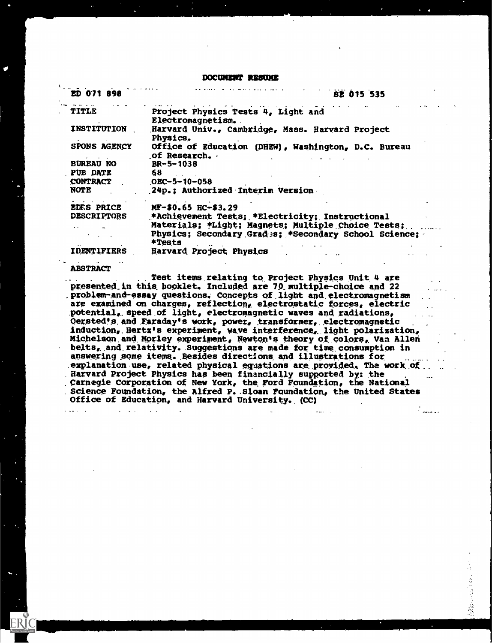#### DOCUMENT RESUME

| ED 071 898          | <b>SE 015 535</b>                                                   |
|---------------------|---------------------------------------------------------------------|
| TITLE               | Project Physics Tests 4, Light and<br>Electromagnetism.             |
| INSTITUTION         | Harvard Univ., Cambridge, Mass. Harvard Project<br>Physics.         |
| <b>SPONS AGENCY</b> | Office of Education (DHEW), Washington, D.C. Bureau<br>of Research. |
| <b>BUREAU NO</b>    | $BR - 5 - 1038$                                                     |
| PUB DATE            | 68                                                                  |
| <b>CONTRACT</b>     | $OEC - 5 - 10 - 058$                                                |
| <b>NOTE</b>         | 24p.; Authorized Interim Version                                    |
| <b>EDRS PRICE</b>   | MF-\$0.65 HC-\$3.29                                                 |
| <b>DESCRIPTORS</b>  | *Achievement Tests; *Electricity; Instructional                     |
|                     | Materials; *Light; Magnets; Multiple Choice Tests;                  |
|                     | Physics; Secondary Grades; *Secondary School Science;<br>*Tests     |
| IDENI IFIERS        | Harvard Project Physics                                             |

#### ABSTRACT

٠.

. Test items.relating to. Project Physics Unit. 4 are presented in this booklet. Included are 70 multiple-choice and 22 problem-and-essay questions.- Concepts of.light and. electromagnetism are examined on charges, reflection, electrostatic forces, electric potential,. speed .of light, electromagnetic waves and radiations, Oersted's and Faraday's work, power, transformer, electromagnetic induction, Hertz's experiment, wave interference, light polarization, Michelson and Morley experiment, Newton's theory of colors, Van Allen belts, and relativity. Suggestions are made for time consumption in answering some items. Besides directions and illustrations for explanation use, related physical equations are provided. The work of Harvard Project Physics has been financially supported by: the .Carnegie Corporation of New York, the. Ford Foundation, the National Science Foundation, the Alfred P. Sloan Foundation, the United States Office of Education, and Harvard University. (CC)

والمستعاد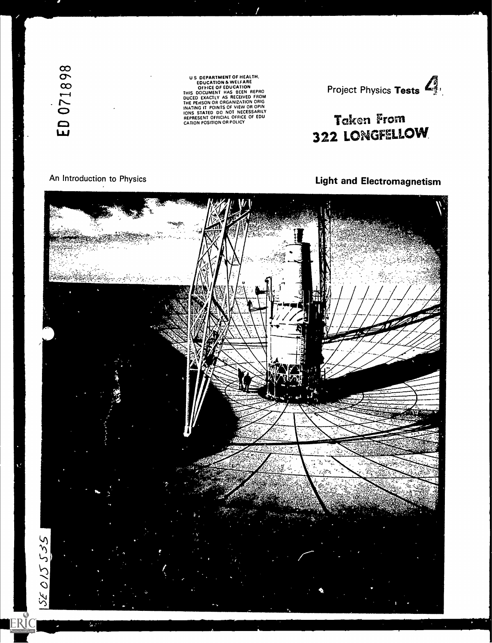ED 071898

US BEPARTMENT UT FINALLY AS BELOCATION A WELFARE<br>
SPICE OF EDUCATION<br>
THIS DOCUMENT HAS BEEN REPRO<br>
THE PENSON OR OR ON THE PENSON OR OR ON THE PENSON OR ORGANIZATION ORIG<br>
INATING IT POINTS OF VIEW OR OPIN<br>
INATING IT POI



# Taken From 322 LONGFELLOW

## Light and Electromagnetism



An Introduction to Physics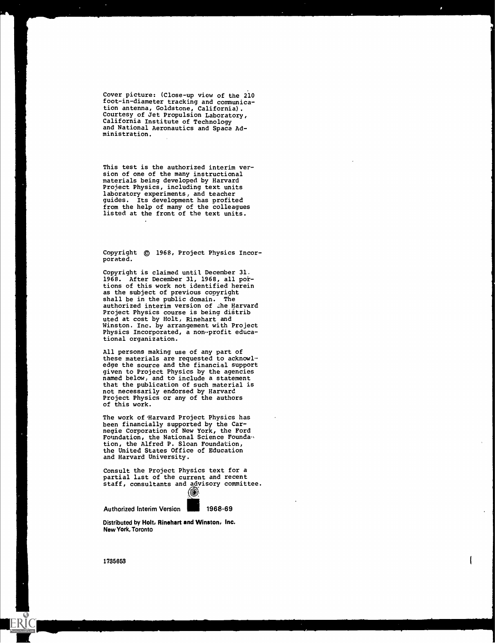Cover picture: (Close-up view of the 210 foot-in-diameter tracking and communication antenna, Goldstone, California). Courtesy of Jet Propulsion Laboratory, California Institute of Technology and National Aeronautics and Space Administration.

This test is the authorized interim version of one of the many instructional materials being developed by Harvard Project Physics, including text units laboratory experiments, and teacher guides. Its development has profited from the help of many of the colleagues listed at the front of the text units.

Copyright  $©$  1968, Project Physics Incorporated.

Copyright is claimed until December 31. 1968. After December 31, 1968, all portions of this work not identified herein as the subject of previous copyright shall be in the public domain. The authorized interim version of .he Harvard Project Physics course is being distrib uted at cost by Holt, Rinehart and Winston. Inc. by arrangement with Project Physics Incorporated, a non-profit educational organization.

All persons making use of any part of these materials are requested to acknowledge the source and the financial support given to Project Physics by the agencies named below, and to include a statement that the publication of such material is not necessarily endorsed by Harvard Project Physics or any of the authors of this work.

The work of 'Harvard Project Physics has been financially supported by the Carnegie Corporation of New York, the Ford Foundation, the National Science Foundation, the Alfred P. Sloan Foundation, the United States Office of Education and Harvard University.

Consult the Project Physics text for a partial list of the current and recent staff, consultants and advisory committee. (©)

Authorized Interim Version 1968-69

Distributed by Holt, Rinehart and Winston, Inc. New York, Toronto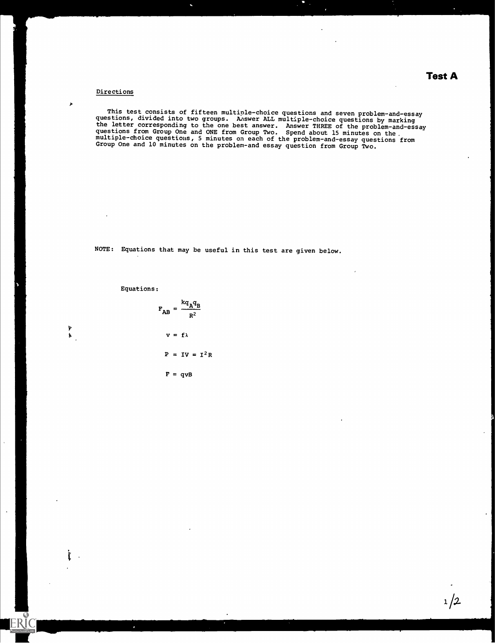## Test A

#### Directions

 $\lambda$ 

This test consists of fifteen multiple-choice questions and seven problem-and-essay<br>stions, divided into the number of seven II would be an according to the constant questions, divided into two groups. Answer ALL multiple-choice questions by marking the letter corresponding to the one best answer. Answer THREE of the problem-and-essay questions from Group One and ONE from Group Two. Spend about 15 minutes on the. multiple-choice questions, 5 minutes on each of the problem-and-essay questions from<br>Croup One and lower than Group One and 10 minutes on the problem-and essay question from Group Two.

NOTE: Equations that may be useful in this test are given below.

Equations:

v  $\mathbf{r}$  and  $\mathbf{r}$ 

ERIC

$$
F_{AB} = \frac{kq_Aq_B}{R^2}
$$
  

$$
v = f\lambda
$$
  

$$
P = IV = I^2R
$$

 $F = qvB$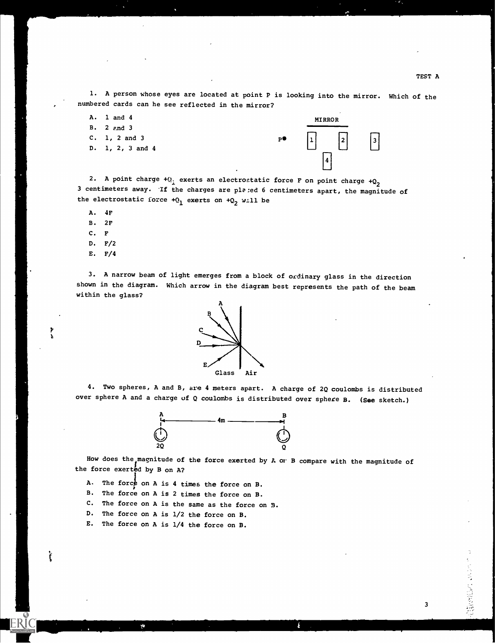3

たいこうしょう コミュロアクチャル

1. A person whose eyes are located at point P is looking into the mirror. Which of the numbered cards can he see reflected in the mirror?

- A. 1 and 4
- B.2 p,nd 3
- C. 1, 2 and 3 D. 1, 2, 3 and 4

 $P^{\bullet}$  | 1| MIRROR  $| \cdot |$ 4

2. A point charge  $+(Q_1)$  exerts an electrostatic force F on point charge  $+Q_2$ 3 centimeters away. If the charges are placed 6 centimeters apart, the magnitude of the electrostatic force  $+Q_1$  exerts on  $+Q_2$  w.11 be

- A. 4F
- B. 2F
- C. F
- D. F/2
- E. F/4

້ເ

3. A narrow beam of light emerges from a block of ordinary glass in the direction shown in the diagram. Which arrow in the diagram best represents the path of the beam within the glass?



4. Two spheres, A and B, are 4 meters apart. A charge of 2Q coulombs is distributed over sphere A and a charge of  $Q$  coulombs is distributed over sphere B. (See sketch.)



How does the magnitude of the force exerted by  $A$  or B compare with the magnitude of the force exerted by B on A?

- A. The force on A is 4 times the force on B.
- B. The force on A is 2 times the force on B.
- C. The force on A is the same as the force on B.
- D. The force on A is 1/2 the force on B.
- E. The force on A is 1/4 the force on B.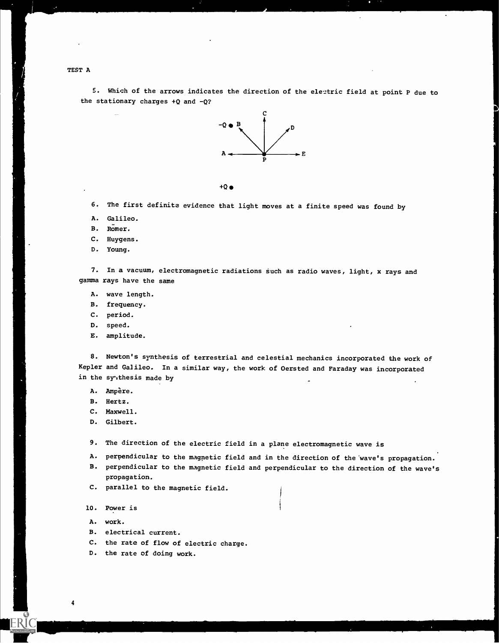TESTA

5. Which of the arrows indicates the direction of the electric field at point P due to the stationary charges  $+Q$  and  $-Q$ ?



 $+Q$   $\bullet$ 

6. The first definite evidence that light moves at a finite speed was found by

- A. Galileo.
- B. Romer.
- C. Huygens.
- D. Young.

7. In a vacuum, electromagnetic radiations such as radio waves, light, x rays and gamma rays have the same

- A. wave length.
- B. frequency.
- C. period.
- D. speed.
- E. amplitude.

8. Newton's synthesis of terrestrial and celestial mechanics incorporated the work of Kepler and Galileo. In a similar way, the work of Oersted and Faraday was incorporated in the syuthesis made by

- A. Ampère.
- B. Hertz.
- C. Maxwell.
- D. Gilbert.

9. The direction of the electric field in a plane electromagnetic wave is

- A. perpendicular to the magnetic field and in the direction of the wave's propagation.
- B. perpendicular to the magnetic field and perpendicular to the direction of the wave's propagation,
- C. parallel to the magnetic field.

10. Power is

A. work.

- B. electrical current.
- C. the rate of flow of electric charge.
- D. the rate of doing work.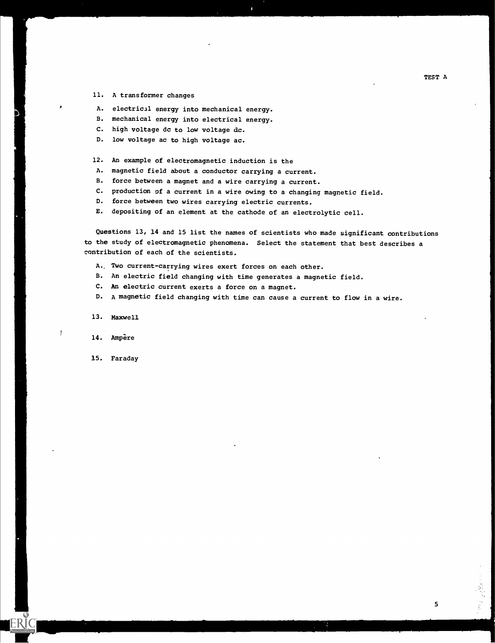- 11. A transformer changes
- A. electrical energy into mechanical energy.
- B. mechanical energy into electrical energy.
- C. high voltage dc to low voltage dc.
- D. low voltage ac to high voltage ac.
- 12. An example of electromagnetic induction is the
- A. magnetic field about a conductor carrying a current.
- B. force between a magnet and a wire carrying a current.
- C. production of a current in a wire owing to a changing magnetic field.
- D. force between two wires carrying electric currents.
- E. depositing of an element at the cathode of an electrolytic cell.

Questions 13, 14 and 15 list the names of scientists who made significant contributions to the study of electromagnetic phenomena. Select the statement that best describes a contribution of each of the scientists.

- A, Two current-carrying wires exert forces on each other.
- B. An electric field changing with time generates a magnetic field.
- C. An electric current exerts a force on a magnet.
- D. A magnetic field changing with time can cause a current to flow in a wire.

13. Maxwell

14. Ampere

ł

15. Faraday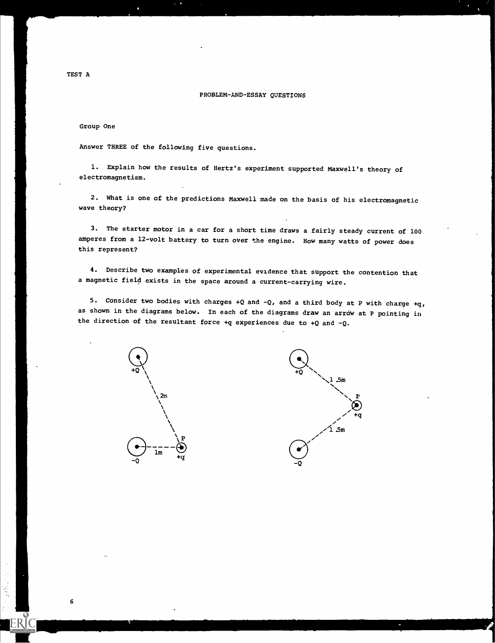#### PROBLEM-AND-ESSAY QUESTIONS

#### Group One

Answer THREE of the following five questions.

1. Explain how the results of Hertz's experiment supported Maxwell's theory of electromagnetism.

2. What is one of the predictions Maxwell made on the basis of his electromagnetic wave theory?

3. The starter motor in a car for a short time draws a fairly steady current of 100 amperes from a 12-volt battery to turn over the engine. How many watts of power does this represent?

4. Describe two examples of experimental evidence that support the contention that a magnetic field exists in the space around a current-carrying wire.

5. Consider two bodies with charges  $+Q$  and  $-Q$ , and a third body at P with charge  $+q$ , as shown in the diagrams below. In each of the diagrams draw an arrow at P pointing in the direction of the resultant force  $+q$  experiences due to  $+Q$  and  $-Q$ .



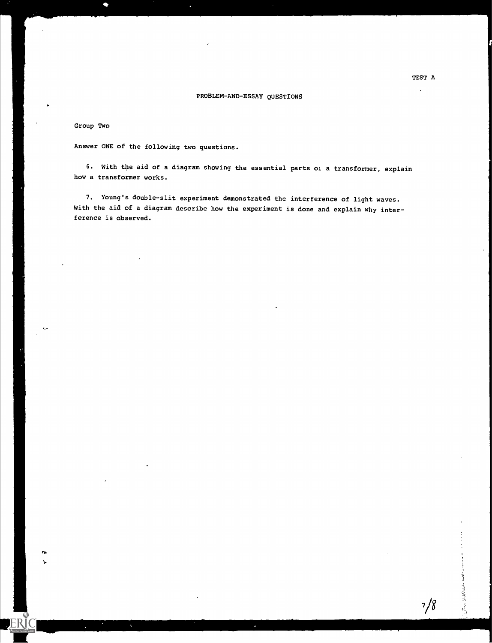#### PROBLEM-AND-ESSAY QUESTIONS

#### Group Two

 $\mathbf{r}$ 

**ERIC** 

Answer ONE of the following two questions.

6. With the aid of a diagram showing the essential parts oi a transformer, explain how a transformer works.

7. Young's double-slit experiment demonstrated the interference of light waves. With the aid of a diagram describe how the experiment is done and explain why interference is observed.

计计算 经基本管理

 $7/8$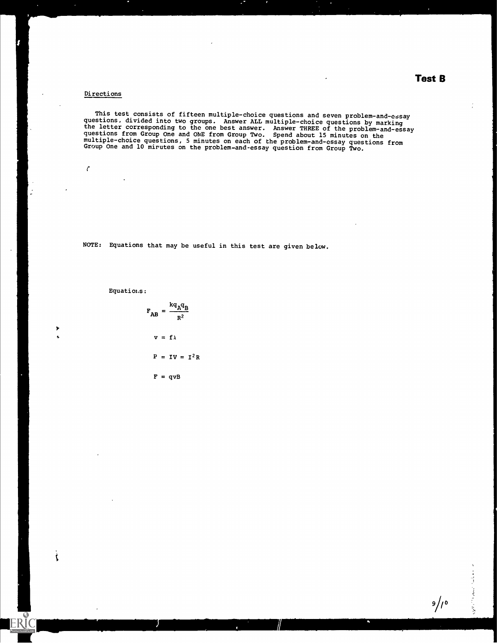## Test B

#### Directions

 $\mathcal{C}$ 

S. t.

t

**ERIC** 

 $\ddot{\phantom{a}}$ 

This test consists of fifteen multiple-choice questions and seven problem-and-essay questions, divided into two groups. Answer ALL multiple-choice questions by marking the letter corresponding to the one best answer. Answer THREE of the problem-and-essay questions from Group One and ONE from Group Two. Spend about 15 minutes on the multiple-choice questions, 5 minutes on each of the problem-and-essay questions from<br>Group One and 10 minutes on the model of the problem-and-essay questions from Group One and 10 mirutes on the problem-and-essay question from Group Two.

NOTE: Equations that may be useful in this test are given below.

Equations :

$$
F_{AB} = \frac{kq_Aq_B}{R^2}
$$
  

$$
v = f\lambda
$$
  

$$
P = IV = I^2R
$$
  

$$
F = qvB
$$

 $9/10$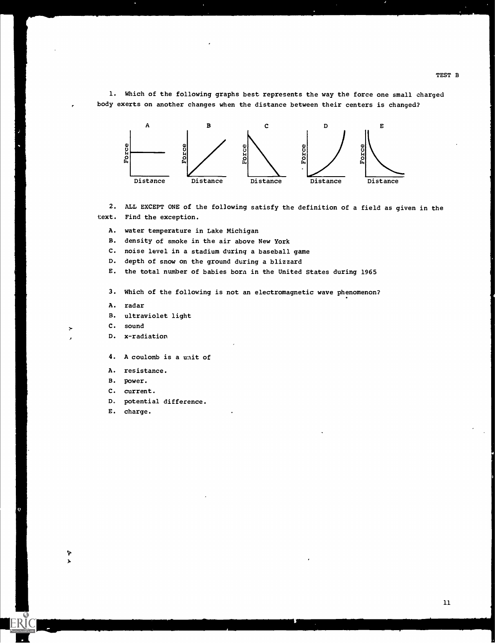1. Which of the following graphs best represents the way the force one small charged body exerts on another changes when the distance between their centers is changed?



2. ALL EXCEPT ONE of the following satisfy the definition of a field as given in the text. Find the exception.

A. water temperature in Lake Michigan

B. density of smoke in the air above New York

C. noise level in a stadium during a baseball game

D. depth of snow on the ground during a blizzard

E. the total number of babies born in the United States during 1965

3. Which of the following is not an electromagnetic wave phenomenon?

- A. radar
- B. ultraviolet light
- C. sound

#### D. x-radiation

4. A coulomb is a unit of

- A. resistance.
- B. power.
- C. current.
- D. potential difference.
- E. charge.

L' i.

TEST B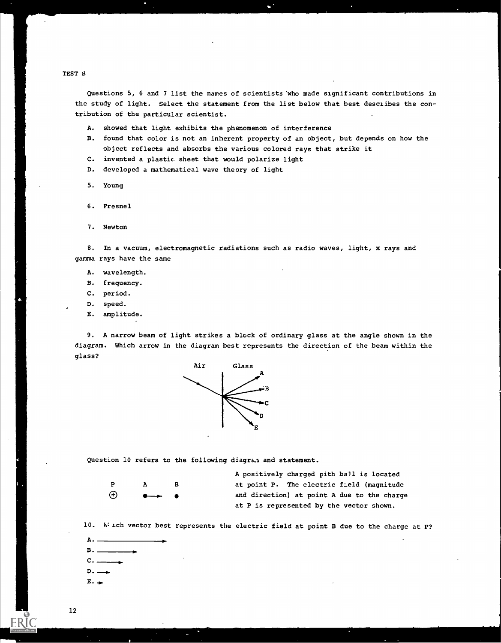TEST B

Questions 5, 6 and 7 list the names of scientista'who made significant contributions in the study of light. Select the statement from the list below that best desciibes the contribution of the particular scientist.

- A. showed that light exhibits the phenomenon of interference
- B. found that color is not an inherent property of an object, but depends on how the object reflects and absorbs the various colored rays that strike it
- C. invented a plastic sheet that would polarize light
- D. developed a mathematical wave theory of light
- 5. Young
- 6. Fresnel
- 7. Newton

8. In a vacuum, electromagnetic radiations such as radio waves, light, x rays and gamma rays have the same

- A. wavelength.
- B. frequency.
- C. period.
- D. speed.
- E. amplitude.

9. A narrow beam of light strikes a block of ordinary glass at the angle shown in the diagram. Which arrow in the diagram best represents the direction of the beam within the glass?



Question 10 refers to the following diagram and statement.

| $\mathbf{P}$ | A                       | в |  |
|--------------|-------------------------|---|--|
| $\bigoplus$  | $\bullet$ $\rightarrow$ |   |  |

A positively charged pith ball is located at point P. The electric field (magnitude and direction) at point A due to the charge at P is represented by the vector shown.

10. Which vector best represents the electric field at point B due to the charge at P?

 $B.$  $D.$  $E \cdot -$ 

 $A -$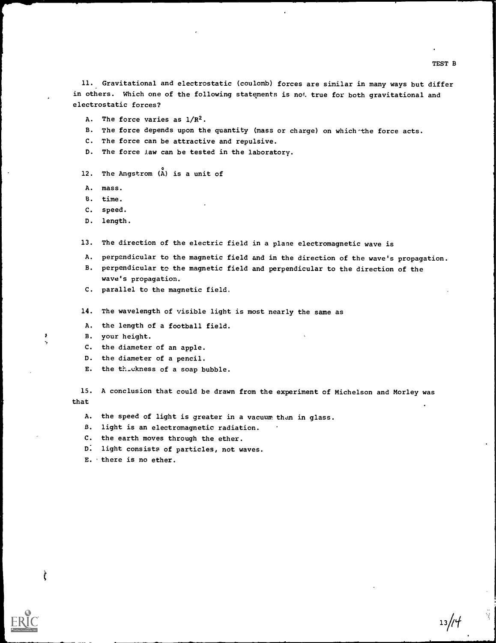11. Gravitational and electrostatic (coulomb) forces are similar in many ways but differ in others. Which one of the following statements is not true for both gravitational and electrostatic forces?

- A. The force varies as 1/R2.
- B. The force depends upon the quantity (mass or charge) on which the force acts.
- C. The force can be attractive and repulsive.
- D. The force Jaw can be tested in the laboratory.
- 12. The Angstrom (A) is a unit of
- A. mass.
- B. time.
- C. speed.
- D. length.

13. The direction of the electric field in a plane electromagnetic wave is

- A. perpendicular to the magnetic field and in the direction of the wave's propagation.
- B. perpendicular to the magnetic field and perpendicular to the direction of the wave's propagation.
- C. parallel to the magnetic field.
- 14. The wavelength of visible light is most nearly the same as
- A. the length of a football field.
- B. your height.

 $\mathbf{1}$ 

Ì

- C. the diameter of an apple.
- D. the diameter of a pencil.
- E. the the ckness of a soap bubble.

15. A conclusion that could be drawn from the experiment of Michelson and Morley was that

- A. the speed of light is greater in a vacuum than in glass.
- B. light is an electromagnetic radiation.
- C. the earth moves through the ether.
- D. light consists of particles, not waves.
- E. there is no ether.

TEST B

 $13/14$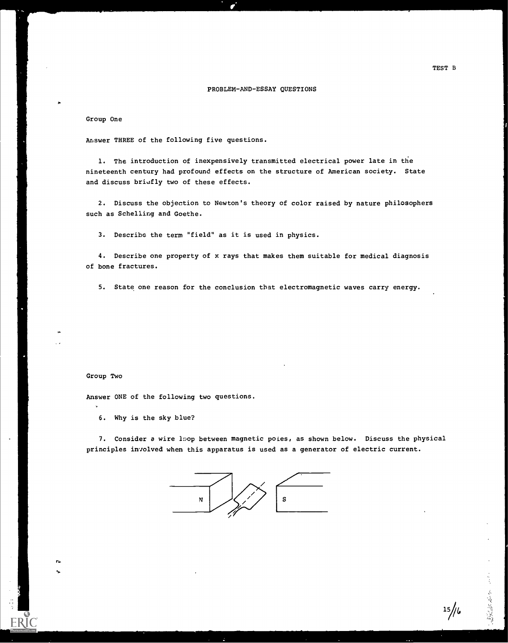#### PROBLEM-AND-ESSAY QUESTIONS

#### Group One

Answer THREE of the following five questions.

1. The introduction of inexpensively transmitted electrical power late in the nineteenth century had profound effects on the structure of American society. State and discuss briefly two of these effects.

2. Discuss the objection to Newton's theory of color raised by nature philosophers such as Schelling and Goethe.

3. Describe the term "field" as it is used in physics.

4. Describe one property of x rays that makes them suitable for medical diagnosis of bone fractures.

5. State one reason for the conclusion that electromagnetic waves carry energy.

#### Group Two

re de la contrada de la contrada de la contrada de la contrada de la contrada de la contrada de la contrada de<br>En la contrada de la contrada de la contrada de la contrada de la contrada de la contrada de la contrada de la

Answer ONE of the following two questions.

6. Why is the sky blue?

7. Consider a wire 1pop between magnetic poles, as shown below. Discuss the physical principles involved when this apparatus is used as a generator of electric current.



 $15/16$ 

こう さんない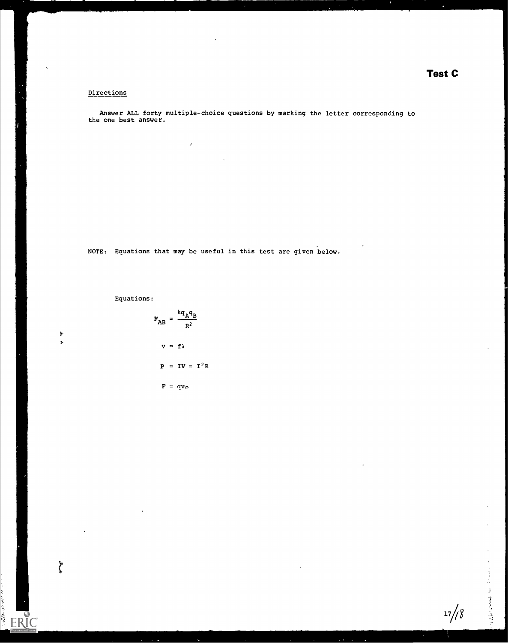### Directions

Answer ALL forty multiple-choice questions by marking the letter corresponding to the one best answer.

NOTE: Equations that may be useful in this test are given below.

 $\mathbf{v}$ 

Equations:

 $\blacktriangleright$ s

 $\begin{array}{c}\n\bullet \\
\bullet\n\end{array}$ 

ERIC



医三苯乙酰 医血管直肠造液瘤

 $17/8$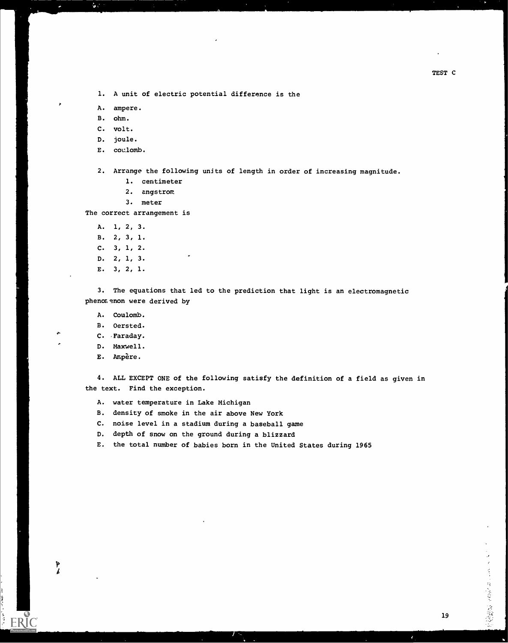1. A unit of electric potential difference is the

A. ampere.

B. ohm.

C. volt.

D. joule.

E. coulomb.

2. Arrange the following units of length in order of increasing magnitude.

- 1. centimeter
- 2. angstrom

3. meter

The correct arrangement is

A. 1, 2, 3.

- B. 2, 3, 1.
- C. 3, 1, 2.
- D. 2, 1, 3.
- E. 3, 2, 1.

3. The equations that led to the prediction that light is an electromagnetic phenomenon were derived by

- A. Coulomb.
- B. Oersted.
- C. Faraday.
- D. Maxwell.

÷

þ  $\mathbf{z}$  E. Ampere.

4. ALL EXCEPT ONE of the following satisfy the definition of a field as given in the text. Find the exception.

- A. water temperature in Lake Michigan
- B. density of smoke in the air above New York
- C. noise level in a stadium during a baseball game
- D. depth of snow on the ground during a blizzard
- E. the total number of babies born in the United States during 1965

一本 スティー ひとうしょう はつない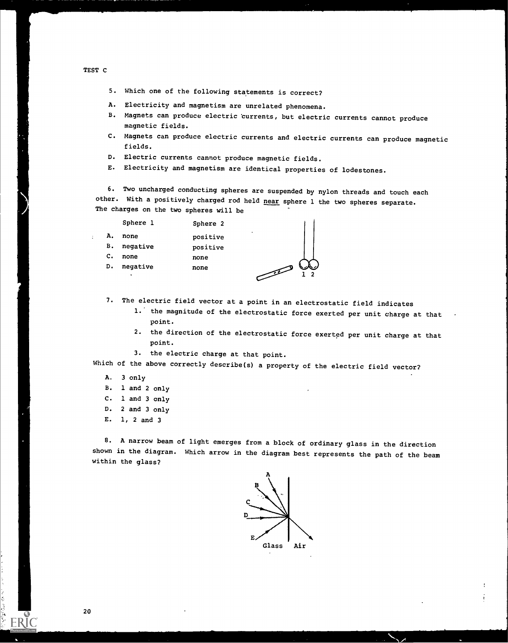TEST C

 $\ddot{\cdot}$ 

5. Which one of the following statements is correct?

- A. Electricity and magnetism are unrelated phenomena.
- B. Magnets can produce electric currents, but electric currents cannot produce magnetic fields.
- C. Magnets can produce electric currents and electric currents can produce magnetic fields.
- D. Electric currents cannot produce magnetic fields.
- E. Electricity and magnetism are identical properties of lodestones.

6. Two uncharged conducting spheres are suspended by nylon threads and touch each other. With a positively charged rod held near sphere 1 the two spheres separate. The charges on the two spheres will be

|    | Sphere 1 | Sphere 2                                |
|----|----------|-----------------------------------------|
| А. | none     | ٠<br>positive                           |
| в. | negative | positive                                |
| c. | none     | none                                    |
| D. | negative | none<br>$\mathcal{F}$<br>$\overline{1}$ |
|    | ۰        |                                         |

7. The electric field vector at a point in an electrostatic field indicates

- 1.' the magnitude of the electrostatic force exerted per unit charge at that point.
- 2. the direction of the electrostatic force exerted per unit charge at that point.
- 3. the electric charge at that point.

Which of the above correctly describe(s) a property of the electric field vector?

- A. <sup>3</sup> only
- B. 1 and 2 only
- C. 1 and 3 only
- D. <sup>2</sup> and 3 only
- E. 1, 2 and <sup>3</sup>

8. A narrow beam of light emerges from a block of ordinary glass in the direction shown in the diagram. Which arrow in the diagram best represents the path of the beam within the glass?

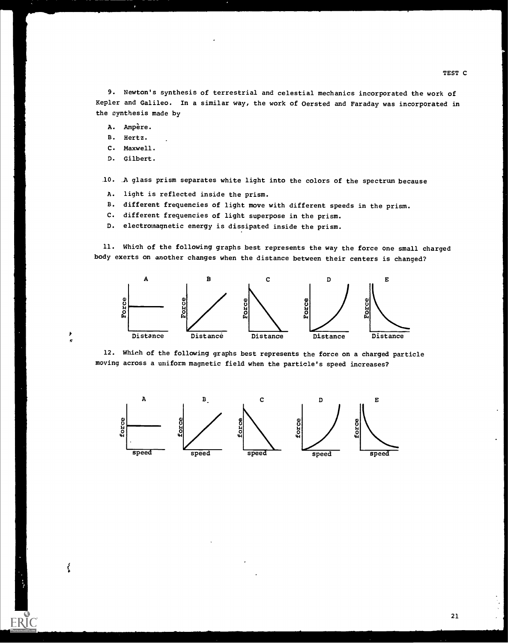9. Newton's synthesis of terrestrial and celestial mechanics incorporated the work of Kepler and Galileo. In a similar way, the work of Oersted and Faraday was incorporated in the synthesis made by

- A. Ampère.
- B. Hertz.
- C. Maxwell.
- D. Gilbert.

 $\epsilon$ 

ţ

ER

- 10. A glass prism separates white light into the colors of the spectrum because
- A. light is reflected inside the prism.
- B. different frequencies of light move with different speeds in the prism.
- C. different frequencies of light superpose in the prism.
- D. electromagnetic energy is dissipated inside the prism.

11. Which of the following graphs best represents the way the force one small charged body exerts on another changes when the distance between their centers is changed?



12. Which of the following graphs best represents the force on a charged particle moving across a uniform magnetic field when the particle's speed increases?

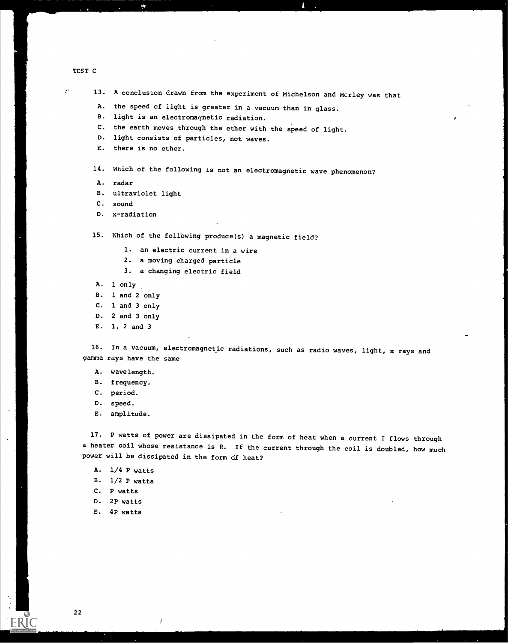#### TEST C

 $\ddot{\varphi}^{\dagger}$ 

13. A conclusion drawn from the experiment of Michelson and Mcrley was that

A. the speed of light is greater in a vacuum than in glass.

- B. light is an electromagnetic radiation.
- C. the earth moves through the ether with the speed of light.
- D. light consists of particles, not waves.
- E. there is no ether.

¢

14. Which of the following is not an electromagnetic wave phenomenon?

- A. radar
- B. ultraviolet light
- C. sound
- D. x-radiation

15. Which of the following produce(s) a magnetic field?

- 1. an electric current in a wire
- 2. a moving charged particle
- 3. a changing electric field
- A. 1 only
- B. 1 and 2 only
- C. 1 and 3 only
- D. 2 and 3 only
- E. 1, 2 and 3

16. In a vacuum, electromagnetic radiations, such as radio waves, light, x rays and gamma rays have the same

- A. wavelength.
- B. frequency.
- C. period.
- D. speed.
- E. amplitude.

17. P watts of power are dissipated in the form of heat when a current I flows through a heater coil whose resistance is R. If the current through the coil is doubled, how much power will be dissipated in the form of heat?

- A. 1/4 P watts
- B.  $1/2$  P watts
- C. P watts
- D. 2P watts
- E. 4P watts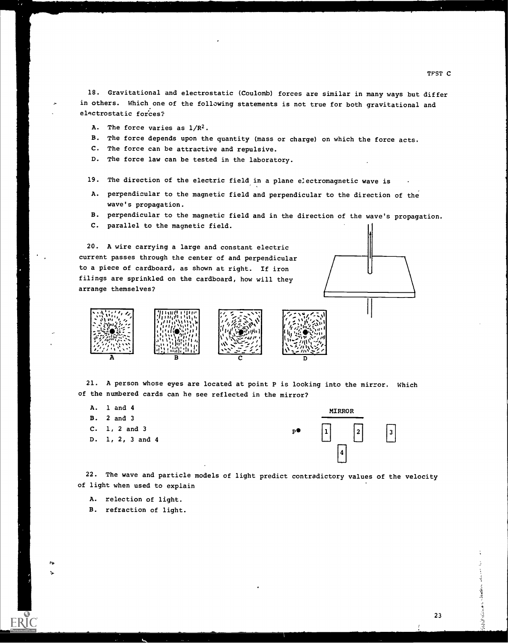18. Gravitational and electrostatic (Coulomb) forces are similar in many ways but differ in others. Which one of the following statements is not true for both gravitational and electrostatic forces?

- A. The force varies as  $1/R^2$ .
- B. The force depends upon the quantity (mass or charge) on which the force acts.
- C. The force can be attractive and repulsive.
- D. The force law can be tested in the laboratory.
- 19. The direction of the electric field in a plane e:ectromagnetic wave is
- A. perpendicular to the magnetic field and perpendicular to the direction of the wave's propagation.
- B. perpendicular to the magnetic field and in the direction of the wave's propagation.
- C. parallel to the magnetic field.

20. A wire carrying a large and constant electric current passes through the center of and perpendicular to a piece of cardboard, as shown at right. If iron filings are sprinkled on the cardboard, how will they arrange themselves?



21. A person whose eyes are located at point P is looking into the mirror. Which of the numbered cards can he see reflected in the mirror?

- A. 1 and 4
- B. 2 and 3

no,

- C. 1, 2 and 3
- D. 1, 2, 3 and 4



22. The wave and particle models of light predict contradictory values of the velocity of light when used to explain

- A. relection of light.
- B. refraction of light.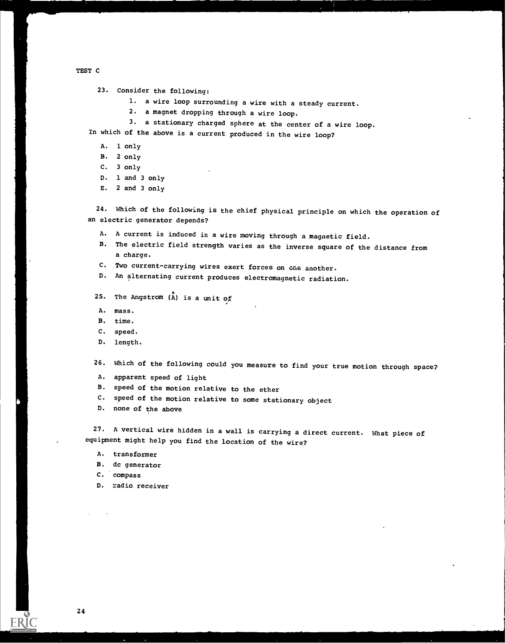TEST C

23. Consider the following:

- 1. a wire loop surrounding a wire with a steady current.
- 2. a magnet dropping through a wire loop.
- 3. a stationary charged sphere at the center of a wire loop.

In which of the above is a current produced in the wire loop?

- A. 1 only
- B. 2 only
- C. 3 only
- D. 1 and 3 only
- E. 2 and 3 only

24. Which of the following is the chief physical principle on which the operation of an electric generator depends?

- A. A current is induced in a wire moving through a magnetic field.
- B. The electric field strength varies as the inverse square of the distance from a charge.
- C. Two current-carrying wires exert forces on one another.<br>D. An alternating current produces electromagnetic redicti
- An alternating current produces electromagnetic radiation.
- 25. The Angstrom  $\hat{A}$  is a unit of
- A. mass.
- B. time.
- C. speed.
- D. length.

26. Which of the following could you measure to find your true motion through space?

- A. apparent speed of light
- B. speed of the motion relative to the ether
- C. speed of the motion relative to some stationary object<br>D. none of the above
- none of the above

27. A vertical wire hidden in a wall is carrying a direct current. What piece of equipment might help you find the location of the wire?

- A. transformer
- B. dc generator

C. compass

D. radio receiver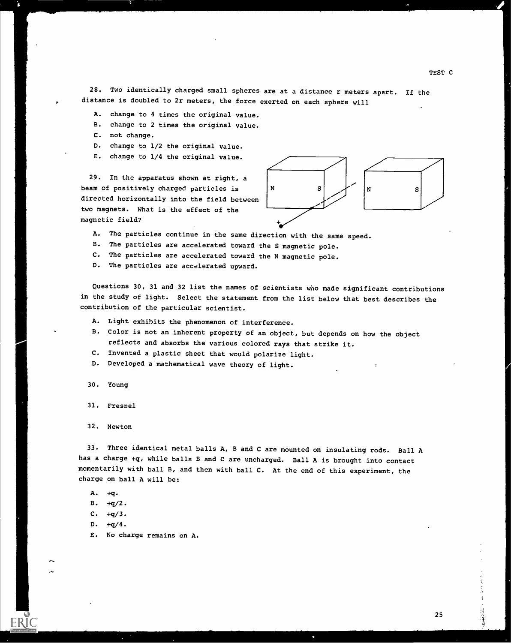28. Two identically charged small spheres are at a distance r meters apart. If the distance is doubled to 2r meters, the force exerted on each sphere will

- A. change to 4 times the original value.
- B. change to 2 times the original value.
- C. not change.
- D. change to 1/2 the original value.
- E. change to 1/4 the original value.

29. In the apparatus shown at right, a beam of positively charged particles is  $|N|$ directed horizontally into the field between two magnets. What is the effect of the magnetic field?



A. The particles continue in the same direction with the same speed.

B. The particles are accelerated toward the S magnetic pole.

C. The particles are accelerated toward the N magnetic pole.

D. The particles are accelerated upward.

Questions 30, 31 and 32 list the names of scientists who made significant contributions in the study of light. Select the statement from the list below that best describes the contribution of the particular scientist.

- A. Light exhibits the phenomenon of interference.
- B. Color is not an inherent property of an object, but depends on how the object reflects and absorbs the various colored rays that strike it.
- C. Invented a plastic sheet that would polarize light.
- D. Developed a mathematical wave theory of light.
- 30. Young
- 31. Fresnel
- 32. Newton

33. Three identical metal balls A, B and C are mounted on insulating rods. Ball A has a charge +q, while balls B and C are uncharged. Ball A is brought into contact momentarily with ball B, and then with ball C. At the end of this experiment, the charge on ball A will be

A. +q.

 $B. +q/2.$ 

- $C. +q/3.$
- $D. +q/4.$

1".

E. No charge remains on A.

TEST C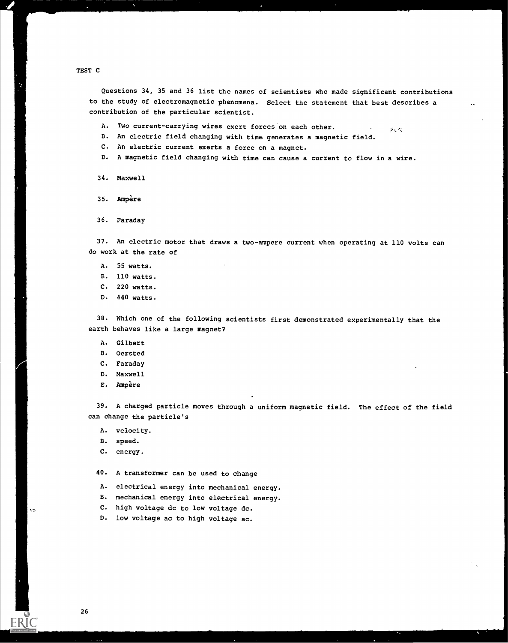TEST C

Y.

Questions 34, 35 and 36 list the names of scientists who made significant contributions to the study of electromagnetic phenomena. Select the statement that best describes a contribution of the particular scientist.

- A. Two current-carrying wires exert forces on each other.  $\mathcal{G}_\infty(\mathcal{C})$
- B. An electric field changing with time generates a magnetic field.
- C. An electric current exerts a force on a magnet.
- D. A magnetic field changing with time can cause a current to flow in a wire.
- 34. Maxwell
- 35. Ampere
- 36. Faraday

37. An electric motor that draws a two-ampere current when operating at 110 volts can do work at the rate of

- A. 55 watts.
- B. 110 watts.
- C. 220 watts.
- D. 440 watts.

38. Which one of the following scientists first demonstrated experimentally that the earth behaves like a large magnet?

- A. Gilbert
- B. Oersted
- C. Faraday
- D. Maxwell
- E. Ampere

39. A charged particle moves through a uniform magnetic field. The effect of the field can change the particle's

- A. velocity.
- B. speed.
- C. energy.

40. A transformer can be used to change

- A. electrical energy into mechanical energy.
- B. mechanical energy into electrical energy.
- C. high voltage dc to low voltage dc.
- D. low voltage ac to high voltage ac.

 $\epsilon_{\rm D}$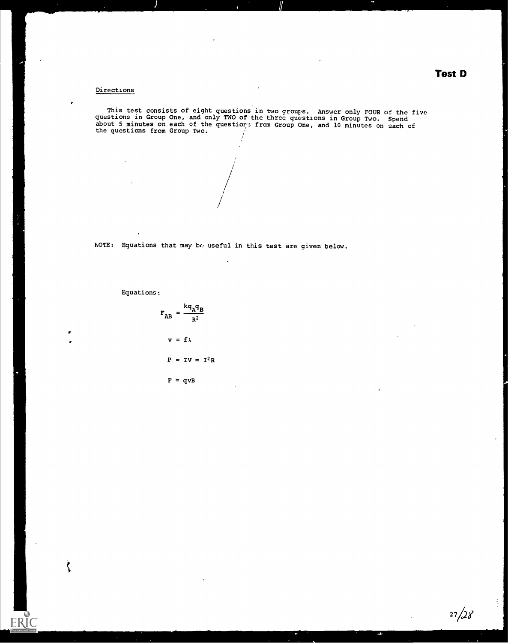## Test D

#### Directions

This test consists of eight questions in two groups. Answer only FOUR of the five<br>chione in Canau Care and The first of the first consistent and the five questions in Group One, and only TWO of the three questions in Group Two. Spend<br>about 5 minutes on each of the questiors from Group One, and 10 minutes on each of<br>the questions from Group The the questions from Group Two.

> / / / <sub>/</sub>  $\mathcal{L}$ 1' ,

NOTE: Equations that may bo useful in this test are given below.

 $\ddot{\phantom{a}}$ 

Equations:

 $\overline{a}$ 

with the contract of the contract of the contract of the contract of the contract of the contract of the contract of the contract of the contract of the contract of the contract of the contract of the contract of the contr ,.,

 $\zeta$ 

ER

$$
F_{AB} = \frac{kq_Aq_B}{R^2}
$$
  

$$
v = f\lambda
$$
  

$$
P = IV = I^2R
$$
  

$$
F = qvB
$$

 $27/28$ 

 $\frac{1}{2}$